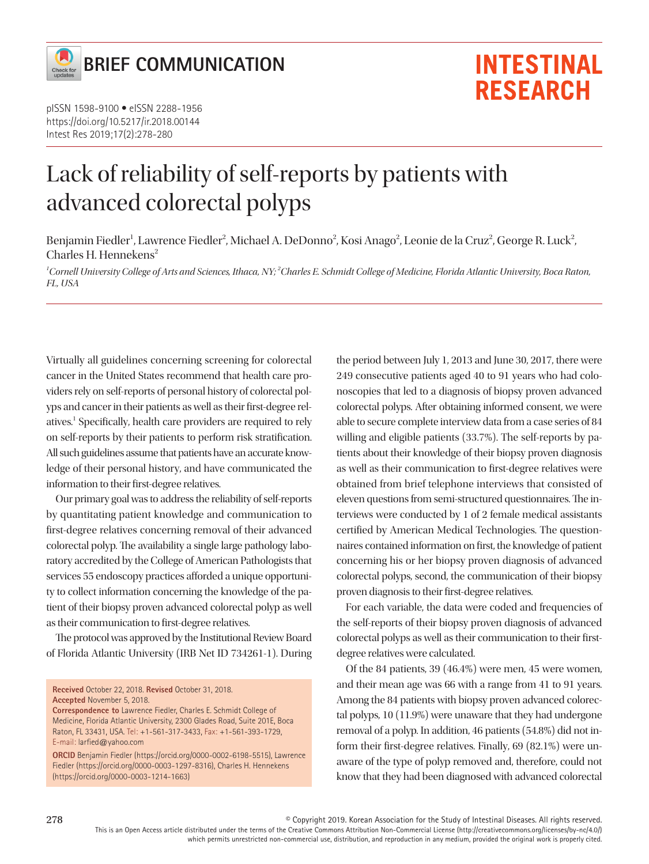

pISSN 1598-9100 • eISSN 2288-1956 https://doi.org/10.5217/ir.2018.00144 Intest Res 2019;17(2):278-280

# Lack of reliability of self-reports by patients with advanced colorectal polyps

Benjamin Fiedler<sup>1</sup>, Lawrence Fiedler<sup>2</sup>, Michael A. DeDonno<sup>2</sup>, Kosi Anago<sup>2</sup>, Leonie de la Cruz<sup>2</sup>, George R. Luck<sup>2</sup>, Charles H. Hennekens<sup>2</sup>

*1 Cornell University College of Arts and Sciences, Ithaca, NY; <sup>2</sup> Charles E. Schmidt College of Medicine, Florida Atlantic University, Boca Raton, FL, USA* 

Virtually all guidelines concerning screening for colorectal cancer in the United States recommend that health care providers rely on self-reports of personal history of colorectal polyps and cancer in their patients as well as their first-degree relatives.<sup>1</sup> Specifically, health care providers are required to rely on self-reports by their patients to perform risk stratification. All such guidelines assume that patients have an accurate knowledge of their personal history, and have communicated the information to their first-degree relatives.

Our primary goal was to address the reliability of self-reports by quantitating patient knowledge and communication to first-degree relatives concerning removal of their advanced colorectal polyp. The availability a single large pathology laboratory accredited by the College of American Pathologists that services 55 endoscopy practices afforded a unique opportunity to collect information concerning the knowledge of the patient of their biopsy proven advanced colorectal polyp as well as their communication to first-degree relatives.

The protocol was approved by the Institutional Review Board of Florida Atlantic University (IRB Net ID 734261-1). During

**Received** October 22, 2018. **Revised** October 31, 2018. **Accepted** November 5, 2018.

**Correspondence to** Lawrence Fiedler, Charles E. Schmidt College of Medicine, Florida Atlantic University, 2300 Glades Road, Suite 201E, Boca Raton, FL 33431, USA. Tel: +1-561-317-3433, Fax: +1-561-393-1729, E-mail: larfied@yahoo.com

**ORCID** Benjamin Fiedler (https://orcid.org/0000-0002-6198-5515), Lawrence Fiedler (https://orcid.org/0000-0003-1297-8316), Charles H. Hennekens (https://orcid.org/0000-0003-1214-1663)

the period between July 1, 2013 and June 30, 2017, there were 249 consecutive patients aged 40 to 91 years who had colonoscopies that led to a diagnosis of biopsy proven advanced colorectal polyps. After obtaining informed consent, we were able to secure complete interview data from a case series of 84 willing and eligible patients (33.7%). The self-reports by patients about their knowledge of their biopsy proven diagnosis as well as their communication to first-degree relatives were obtained from brief telephone interviews that consisted of eleven questions from semi-structured questionnaires. The interviews were conducted by 1 of 2 female medical assistants certified by American Medical Technologies. The questionnaires contained information on first, the knowledge of patient concerning his or her biopsy proven diagnosis of advanced colorectal polyps, second, the communication of their biopsy proven diagnosis to their first-degree relatives.

**INTESTINAL** 

**RESEARCH** 

For each variable, the data were coded and frequencies of the self-reports of their biopsy proven diagnosis of advanced colorectal polyps as well as their communication to their firstdegree relatives were calculated.

Of the 84 patients, 39 (46.4%) were men, 45 were women, and their mean age was 66 with a range from 41 to 91 years. Among the 84 patients with biopsy proven advanced colorectal polyps, 10 (11.9%) were unaware that they had undergone removal of a polyp. In addition, 46 patients (54.8%) did not inform their first-degree relatives. Finally, 69 (82.1%) were unaware of the type of polyp removed and, therefore, could not know that they had been diagnosed with advanced colorectal

© Copyright 2019. Korean Association for the Study of Intestinal Diseases. All rights reserved. This is an Open Access article distributed under the terms of the Creative Commons Attribution Non-Commercial License (http://creativecommons.org/licenses/by-nc/4.0/) which permits unrestricted non-commercial use, distribution, and reproduction in any medium, provided the original work is properly cited.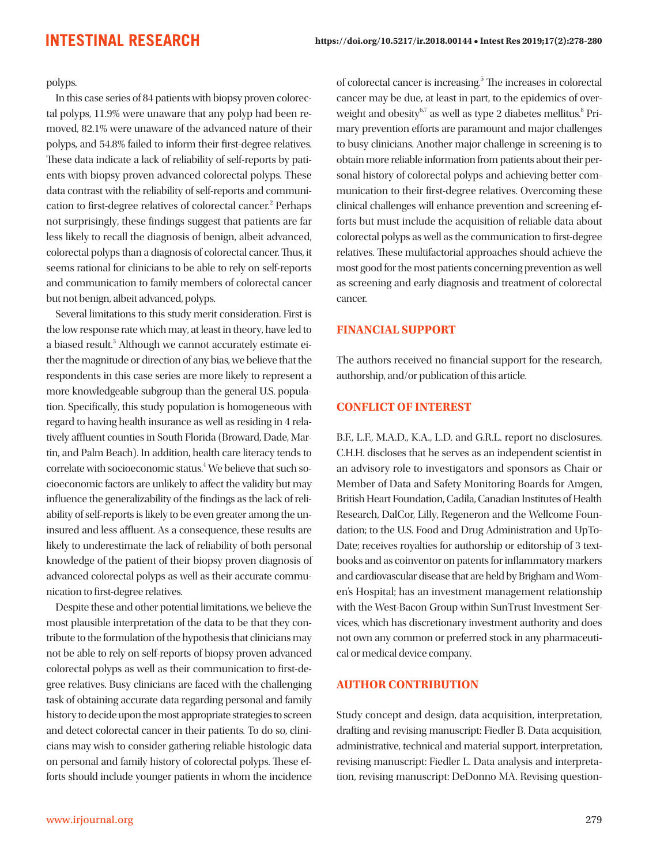polyps.

In this case series of 84 patients with biopsy proven colorectal polyps, 11.9% were unaware that any polyp had been removed, 82.1% were unaware of the advanced nature of their polyps, and 54.8% failed to inform their first-degree relatives. These data indicate a lack of reliability of self-reports by patients with biopsy proven advanced colorectal polyps. These data contrast with the reliability of self-reports and communication to first-degree relatives of colorectal cancer.<sup>2</sup> Perhaps not surprisingly, these findings suggest that patients are far less likely to recall the diagnosis of benign, albeit advanced, colorectal polyps than a diagnosis of colorectal cancer. Thus, it seems rational for clinicians to be able to rely on self-reports and communication to family members of colorectal cancer but not benign, albeit advanced, polyps.

Several limitations to this study merit consideration. First is the low response rate which may, at least in theory, have led to a biased result.<sup>3</sup> Although we cannot accurately estimate either the magnitude or direction of any bias, we believe that the respondents in this case series are more likely to represent a more knowledgeable subgroup than the general U.S. population. Specifically, this study population is homogeneous with regard to having health insurance as well as residing in 4 relatively affluent counties in South Florida (Broward, Dade, Martin, and Palm Beach). In addition, health care literacy tends to correlate with socioeconomic status.<sup>4</sup> We believe that such socioeconomic factors are unlikely to affect the validity but may influence the generalizability of the findings as the lack of reliability of self-reports is likely to be even greater among the uninsured and less affluent. As a consequence, these results are likely to underestimate the lack of reliability of both personal knowledge of the patient of their biopsy proven diagnosis of advanced colorectal polyps as well as their accurate communication to first-degree relatives.

Despite these and other potential limitations, we believe the most plausible interpretation of the data to be that they contribute to the formulation of the hypothesis that clinicians may not be able to rely on self-reports of biopsy proven advanced colorectal polyps as well as their communication to first-degree relatives. Busy clinicians are faced with the challenging task of obtaining accurate data regarding personal and family history to decide upon the most appropriate strategies to screen and detect colorectal cancer in their patients. To do so, clinicians may wish to consider gathering reliable histologic data on personal and family history of colorectal polyps. These efforts should include younger patients in whom the incidence

of colorectal cancer is increasing.<sup>5</sup> The increases in colorectal cancer may be due, at least in part, to the epidemics of overweight and obesity $67$  as well as type 2 diabetes mellitus. $8$  Primary prevention efforts are paramount and major challenges to busy clinicians. Another major challenge in screening is to obtain more reliable information from patients about their personal history of colorectal polyps and achieving better communication to their first-degree relatives. Overcoming these clinical challenges will enhance prevention and screening efforts but must include the acquisition of reliable data about colorectal polyps as well as the communication to first-degree relatives. These multifactorial approaches should achieve the most good for the most patients concerning prevention as well as screening and early diagnosis and treatment of colorectal cancer.

#### **FINANCIAL SUPPORT**

The authors received no financial support for the research, authorship, and/or publication of this article.

#### **CONFLICT OF INTEREST**

B.F., L.F., M.A.D., K.A., L.D. and G.R.L. report no disclosures. C.H.H. discloses that he serves as an independent scientist in an advisory role to investigators and sponsors as Chair or Member of Data and Safety Monitoring Boards for Amgen, British Heart Foundation, Cadila, Canadian Institutes of Health Research, DalCor, Lilly, Regeneron and the Wellcome Foundation; to the U.S. Food and Drug Administration and UpTo-Date; receives royalties for authorship or editorship of 3 textbooks and as coinventor on patents for inflammatory markers and cardiovascular disease that are held by Brigham and Women's Hospital; has an investment management relationship with the West-Bacon Group within SunTrust Investment Services, which has discretionary investment authority and does not own any common or preferred stock in any pharmaceutical or medical device company.

#### **AUTHOR CONTRIBUTION**

Study concept and design, data acquisition, interpretation, drafting and revising manuscript: Fiedler B. Data acquisition, administrative, technical and material support, interpretation, revising manuscript: Fiedler L. Data analysis and interpretation, revising manuscript: DeDonno MA. Revising question-